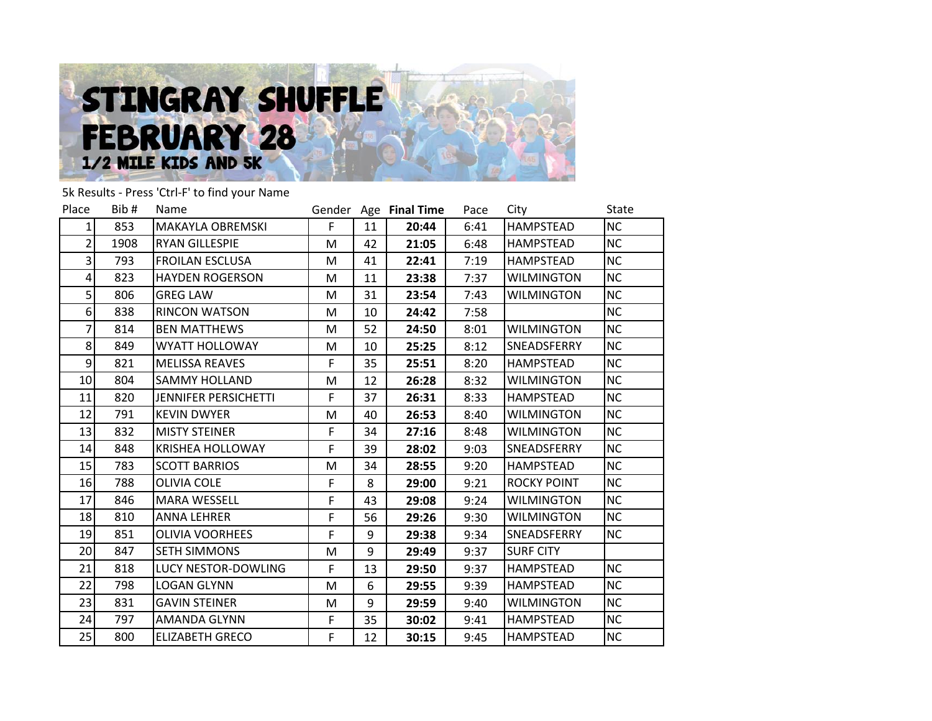

5k Results - Press 'Ctrl-F' to find your Name

| Place          | Bib# | <b>Name</b>                 |   |    | Gender Age Final Time | Pace | City               | <b>State</b> |
|----------------|------|-----------------------------|---|----|-----------------------|------|--------------------|--------------|
| 1              | 853  | <b>MAKAYLA OBREMSKI</b>     | F | 11 | 20:44                 | 6:41 | <b>HAMPSTEAD</b>   | <b>NC</b>    |
| 2              | 1908 | RYAN GILLESPIE              | M | 42 | 21:05                 | 6:48 | <b>HAMPSTEAD</b>   | <b>NC</b>    |
| $\overline{3}$ | 793  | <b>FROILAN ESCLUSA</b>      | M | 41 | 22:41                 | 7:19 | <b>HAMPSTEAD</b>   | <b>NC</b>    |
| 4              | 823  | <b>HAYDEN ROGERSON</b>      | M | 11 | 23:38                 | 7:37 | <b>WILMINGTON</b>  | <b>NC</b>    |
| 5 <sup>1</sup> | 806  | <b>GREG LAW</b>             | M | 31 | 23:54                 | 7:43 | <b>WILMINGTON</b>  | <b>NC</b>    |
| 6              | 838  | <b>RINCON WATSON</b>        | M | 10 | 24:42                 | 7:58 |                    | <b>NC</b>    |
| 7              | 814  | <b>BEN MATTHEWS</b>         | M | 52 | 24:50                 | 8:01 | <b>WILMINGTON</b>  | <b>NC</b>    |
| 8              | 849  | <b>WYATT HOLLOWAY</b>       | M | 10 | 25:25                 | 8:12 | SNEADSFERRY        | <b>NC</b>    |
| 9              | 821  | <b>MELISSA REAVES</b>       | F | 35 | 25:51                 | 8:20 | <b>HAMPSTEAD</b>   | <b>NC</b>    |
| 10             | 804  | <b>SAMMY HOLLAND</b>        | М | 12 | 26:28                 | 8:32 | WILMINGTON         | <b>NC</b>    |
| 11             | 820  | <b>JENNIFER PERSICHETTI</b> | F | 37 | 26:31                 | 8:33 | HAMPSTEAD          | <b>NC</b>    |
| 12             | 791  | <b>KEVIN DWYER</b>          | M | 40 | 26:53                 | 8:40 | <b>WILMINGTON</b>  | <b>NC</b>    |
| 13             | 832  | <b>MISTY STEINER</b>        | F | 34 | 27:16                 | 8:48 | <b>WILMINGTON</b>  | <b>NC</b>    |
| 14             | 848  | <b>KRISHEA HOLLOWAY</b>     | F | 39 | 28:02                 | 9:03 | SNEADSFERRY        | <b>NC</b>    |
| 15             | 783  | <b>SCOTT BARRIOS</b>        | M | 34 | 28:55                 | 9:20 | <b>HAMPSTEAD</b>   | <b>NC</b>    |
| 16             | 788  | <b>OLIVIA COLE</b>          | F | 8  | 29:00                 | 9:21 | <b>ROCKY POINT</b> | <b>NC</b>    |
| 17             | 846  | <b>MARA WESSELL</b>         | F | 43 | 29:08                 | 9:24 | WILMINGTON         | <b>NC</b>    |
| 18             | 810  | <b>ANNA LEHRER</b>          | F | 56 | 29:26                 | 9:30 | <b>WILMINGTON</b>  | <b>NC</b>    |
| 19             | 851  | <b>OLIVIA VOORHEES</b>      | F | 9  | 29:38                 | 9:34 | SNEADSFERRY        | <b>NC</b>    |
| 20             | 847  | <b>SETH SIMMONS</b>         | M | 9  | 29:49                 | 9:37 | <b>SURF CITY</b>   |              |
| 21             | 818  | LUCY NESTOR-DOWLING         | F | 13 | 29:50                 | 9:37 | <b>HAMPSTEAD</b>   | <b>NC</b>    |
| 22             | 798  | <b>LOGAN GLYNN</b>          | M | 6  | 29:55                 | 9:39 | <b>HAMPSTEAD</b>   | <b>NC</b>    |
| 23             | 831  | <b>GAVIN STEINER</b>        | M | 9  | 29:59                 | 9:40 | <b>WILMINGTON</b>  | <b>NC</b>    |
| 24             | 797  | <b>AMANDA GLYNN</b>         | F | 35 | 30:02                 | 9:41 | <b>HAMPSTEAD</b>   | <b>NC</b>    |
| 25             | 800  | ELIZABETH GRECO             | F | 12 | 30:15                 | 9:45 | <b>HAMPSTEAD</b>   | <b>NC</b>    |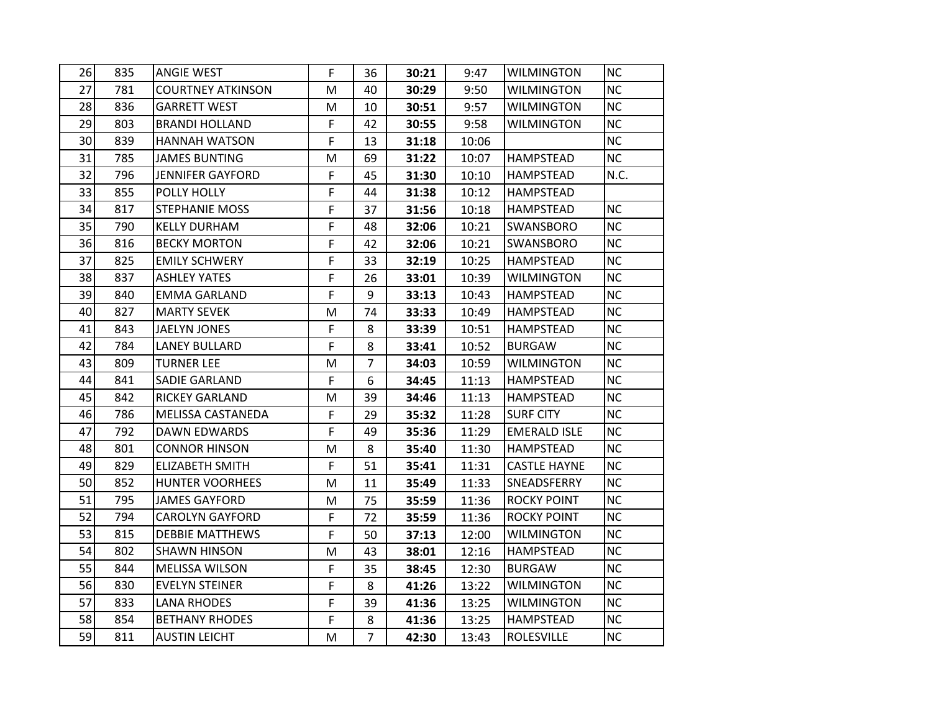| 26              | 835 | <b>ANGIE WEST</b>        | F           | 36 | 30:21 | 9:47  | <b>WILMINGTON</b>   | <b>NC</b> |
|-----------------|-----|--------------------------|-------------|----|-------|-------|---------------------|-----------|
| 27              | 781 | <b>COURTNEY ATKINSON</b> | M           | 40 | 30:29 | 9:50  | <b>WILMINGTON</b>   | <b>NC</b> |
| 28              | 836 | <b>GARRETT WEST</b>      | M           | 10 | 30:51 | 9:57  | <b>WILMINGTON</b>   | <b>NC</b> |
| 29              | 803 | <b>BRANDI HOLLAND</b>    | $\mathsf F$ | 42 | 30:55 | 9:58  | <b>WILMINGTON</b>   | <b>NC</b> |
| 30 <sup>°</sup> | 839 | <b>HANNAH WATSON</b>     | F           | 13 | 31:18 | 10:06 |                     | <b>NC</b> |
| 31              | 785 | JAMES BUNTING            | М           | 69 | 31:22 | 10:07 | <b>HAMPSTEAD</b>    | NC        |
| 32              | 796 | <b>JENNIFER GAYFORD</b>  | F           | 45 | 31:30 | 10:10 | <b>HAMPSTEAD</b>    | N.C.      |
| 33              | 855 | POLLY HOLLY              | F           | 44 | 31:38 | 10:12 | <b>HAMPSTEAD</b>    |           |
| 34              | 817 | <b>STEPHANIE MOSS</b>    | F           | 37 | 31:56 | 10:18 | <b>HAMPSTEAD</b>    | NC        |
| 35              | 790 | <b>KELLY DURHAM</b>      | F           | 48 | 32:06 | 10:21 | <b>SWANSBORO</b>    | <b>NC</b> |
| 36              | 816 | <b>BECKY MORTON</b>      | F           | 42 | 32:06 | 10:21 | <b>SWANSBORO</b>    | <b>NC</b> |
| 37              | 825 | <b>EMILY SCHWERY</b>     | F           | 33 | 32:19 | 10:25 | <b>HAMPSTEAD</b>    | <b>NC</b> |
| 38              | 837 | ASHLEY YATES             | F           | 26 | 33:01 | 10:39 | <b>WILMINGTON</b>   | <b>NC</b> |
| 39              | 840 | EMMA GARLAND             | F           | 9  | 33:13 | 10:43 | <b>HAMPSTEAD</b>    | NC        |
| 40              | 827 | <b>MARTY SEVEK</b>       | M           | 74 | 33:33 | 10:49 | <b>HAMPSTEAD</b>    | NC        |
| 41              | 843 | <b>JAELYN JONES</b>      | F           | 8  | 33:39 | 10:51 | <b>HAMPSTEAD</b>    | <b>NC</b> |
| 42              | 784 | <b>LANEY BULLARD</b>     | F           | 8  | 33:41 | 10:52 | <b>BURGAW</b>       | <b>NC</b> |
| 43              | 809 | <b>TURNER LEE</b>        | M           | 7  | 34:03 | 10:59 | <b>WILMINGTON</b>   | <b>NC</b> |
| 44              | 841 | <b>SADIE GARLAND</b>     | F           | 6  | 34:45 | 11:13 | <b>HAMPSTEAD</b>    | <b>NC</b> |
| 45              | 842 | <b>RICKEY GARLAND</b>    | M           | 39 | 34:46 | 11:13 | <b>HAMPSTEAD</b>    | <b>NC</b> |
| 46              | 786 | MELISSA CASTANEDA        | F           | 29 | 35:32 | 11:28 | <b>SURF CITY</b>    | NC        |
| 47              | 792 | DAWN EDWARDS             | F           | 49 | 35:36 | 11:29 | <b>EMERALD ISLE</b> | <b>NC</b> |
| 48              | 801 | <b>CONNOR HINSON</b>     | M           | 8  | 35:40 | 11:30 | <b>HAMPSTEAD</b>    | NC        |
| 49              | 829 | <b>ELIZABETH SMITH</b>   | F           | 51 | 35:41 | 11:31 | <b>CASTLE HAYNE</b> | <b>NC</b> |
| 50              | 852 | <b>HUNTER VOORHEES</b>   | М           | 11 | 35:49 | 11:33 | SNEADSFERRY         | NC        |
| 51              | 795 | <b>JAMES GAYFORD</b>     | M           | 75 | 35:59 | 11:36 | <b>ROCKY POINT</b>  | <b>NC</b> |
| 52              | 794 | <b>CAROLYN GAYFORD</b>   | F           | 72 | 35:59 | 11:36 | <b>ROCKY POINT</b>  | <b>NC</b> |
| 53              | 815 | <b>DEBBIE MATTHEWS</b>   | F           | 50 | 37:13 | 12:00 | <b>WILMINGTON</b>   | NC        |
| 54              | 802 | <b>SHAWN HINSON</b>      | M           | 43 | 38:01 | 12:16 | <b>HAMPSTEAD</b>    | NC        |
| 55              | 844 | <b>MELISSA WILSON</b>    | F           | 35 | 38:45 | 12:30 | <b>BURGAW</b>       | NC        |
| 56              | 830 | <b>EVELYN STEINER</b>    | F           | 8  | 41:26 | 13:22 | <b>WILMINGTON</b>   | <b>NC</b> |
| 57              | 833 | <b>LANA RHODES</b>       | F           | 39 | 41:36 | 13:25 | <b>WILMINGTON</b>   | <b>NC</b> |
| 58              | 854 | <b>BETHANY RHODES</b>    | F           | 8  | 41:36 | 13:25 | HAMPSTEAD           | <b>NC</b> |
| 59              | 811 | <b>AUSTIN LEICHT</b>     | М           | 7  | 42:30 | 13:43 | <b>ROLESVILLE</b>   | NC        |